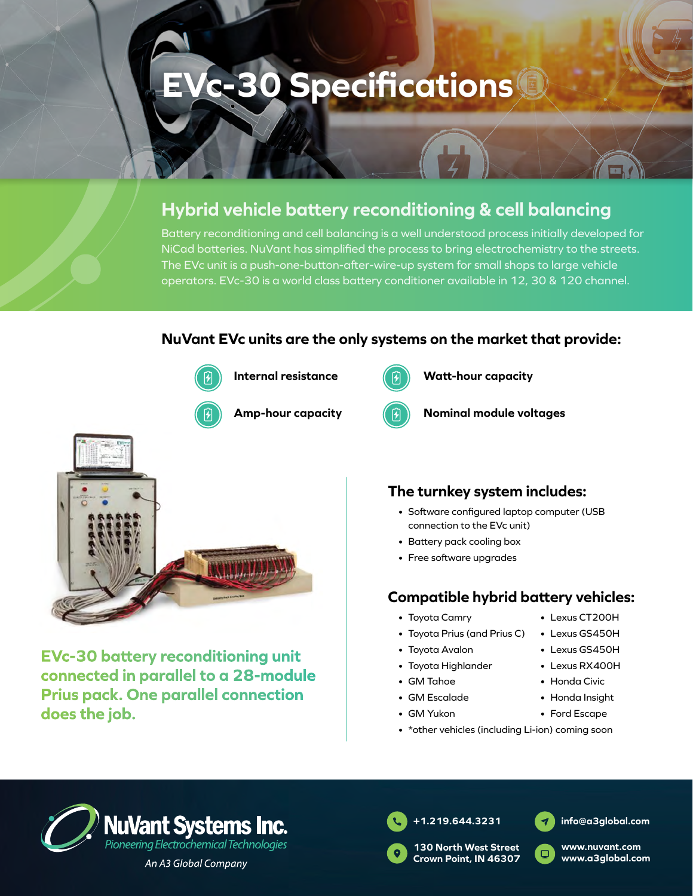# **EVc-30 Specifications**

## **Hybrid vehicle battery reconditioning & cell balancing**

Battery reconditioning and cell balancing is a well understood process initially developed for NiCad batteries. NuVant has simplified the process to bring electrochemistry to the streets. The EVc unit is a push-one-button-after-wire-up system for small shops to large vehicle operators. EVc-30 is a world class battery conditioner available in 12, 30 & 120 channel.

#### **NuVant EVc units are the only systems on the market that provide:**



**Internal resistance**



**Watt-hour capacity**



**Nominal module voltages**



**EVc-30 battery reconditioning unit connected in parallel to a 28-module Prius pack. One parallel connection does the job.**

### **The turnkey system includes:**

- Software configured laptop computer (USB connection to the EVc unit)
- Battery pack cooling box
- Free software upgrades

#### **Compatible hybrid battery vehicles:**

- Toyota Camry
- Toyota Prius (and Prius C)
- Toyota Avalon
- Toyota Highlander
- GM Tahoe
- GM Escalade
- GM Yukon
- \*other vehicles (including Li-ion) coming soon



An A3 Global Company



**130 North West Street Crown Point, IN 46307**



**www.nuvant.com www.a3global.com**



- Lexus GS450H
- Lexus GS450H
- Lexus RX400H
- Honda Civic
- Honda Insight
- Ford Escape
- **+1.219.644.3231**